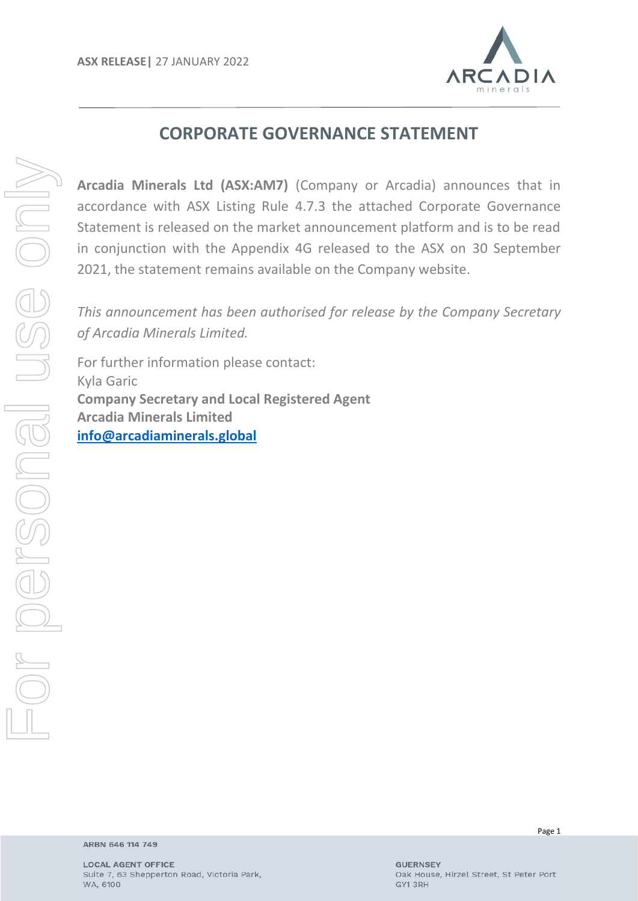

# **CORPORATE GOVERNANCE STATEMENT**

**Arcadia Minerals Ltd (ASX:AM7)** (Company or Arcadia) announces that in accordance with ASX Listing Rule 4.7.3 the attached Corporate Governance Statement is released on the market announcement platform and is to be read in conjunction with the Appendix 4G released to the ASX on 30 September 2021, the statement remains available on the Company website.

*This announcement has been authorised for release by the Company Secretary of Arcadia Minerals Limited.*

For further information please contact: Kyla Garic **Company Secretary and Local Registered Agent Arcadia Minerals Limited [info@arcadiaminerals.global](mailto:info@arcadiaminerals.global)**

Page 1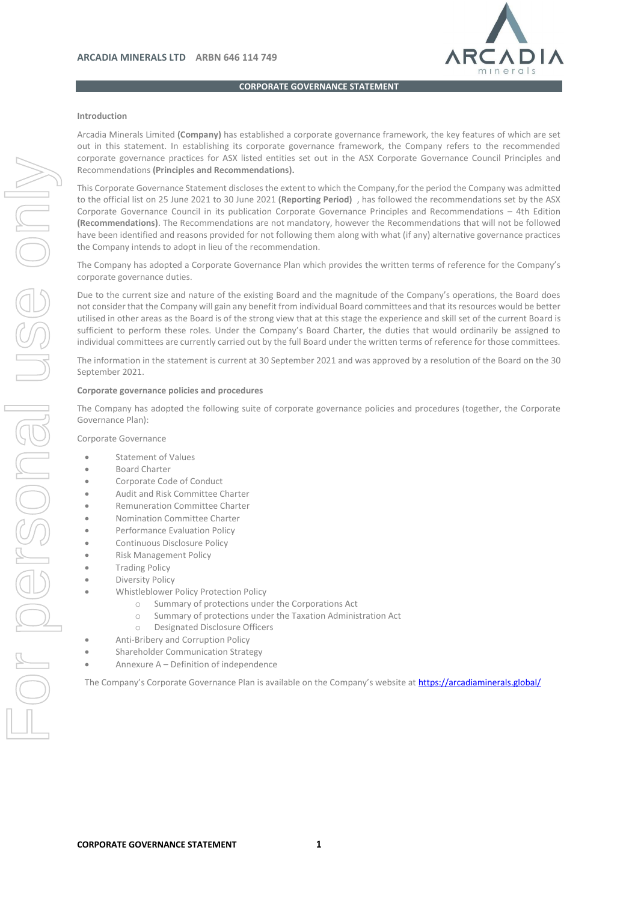

**CORPORATE GOVERNANCE STATEMENT**

#### **Introduction**

Arcadia Minerals Limited **(Company)** has established a corporate governance framework, the key features of which are set out in this statement. In establishing its corporate governance framework, the Company refers to the recommended corporate governance practices for ASX listed entities set out in the ASX Corporate Governance Council Principles and Recommendations **(Principles and Recommendations).**

This Corporate Governance Statement discloses the extent to which the Company,for the period the Company was admitted to the official list on 25 June 2021 to 30 June 2021 **(Reporting Period)** , has followed the recommendations set by the ASX Corporate Governance Council in its publication Corporate Governance Principles and Recommendations – 4th Edition **(Recommendations)**. The Recommendations are not mandatory, however the Recommendations that will not be followed have been identified and reasons provided for not following them along with what (if any) alternative governance practices the Company intends to adopt in lieu of the recommendation.

The Company has adopted a Corporate Governance Plan which provides the written terms of reference for the Company's corporate governance duties.

Due to the current size and nature of the existing Board and the magnitude of the Company's operations, the Board does not consider that the Company will gain any benefit from individual Board committees and that its resources would be better utilised in other areas as the Board is of the strong view that at this stage the experience and skill set of the current Board is sufficient to perform these roles. Under the Company's Board Charter, the duties that would ordinarily be assigned to individual committees are currently carried out by the full Board under the written terms of reference for those committees.

The information in the statement is current at 30 September 2021 and was approved by a resolution of the Board on the 30 September 2021.

#### **Corporate governance policies and procedures**

The Company has adopted the following suite of corporate governance policies and procedures (together, the Corporate Governance Plan):

Corporate Governance

- Statement of Values
- Board Charter
- Corporate Code of Conduct
- Audit and Risk Committee Charter
- Remuneration Committee Charter
- Nomination Committee Charter
- Performance Evaluation Policy
- Continuous Disclosure Policy
- Risk Management Policy
- Trading Policy
- Diversity Policy
- Whistleblower Policy Protection Policy
	- o Summary of protections under the Corporations Act
	- o Summary of protections under the Taxation Administration Act
	- o Designated Disclosure Officers
- Anti-Bribery and Corruption Policy
- Shareholder Communication Strategy
- Annexure A Definition of independence

The Company's Corporate Governance Plan is available on the Company's website at <https://arcadiaminerals.global/>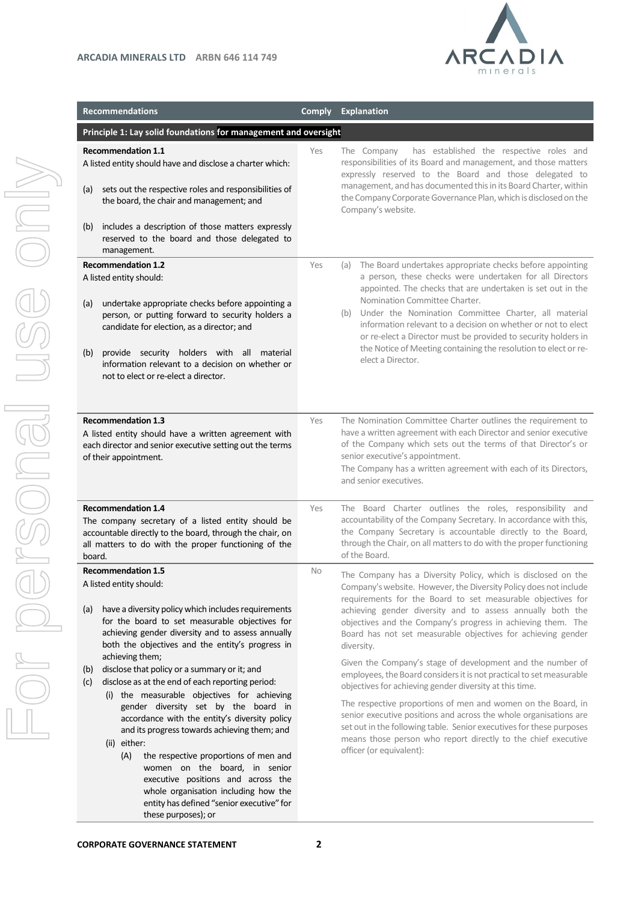

| <b>Recommendations</b>                                                                                                                                                                                                                                                                                                                                                                                                                                                                                                                                                                                                                                                                                                                                                                                                                                        | <b>Comply</b> | <b>Explanation</b>                                                                                                                                                                                                                                                                                                                                                                                                                                                                                                                                                                                                                                                                                                                                                                                                                                                                                                       |  |  |
|---------------------------------------------------------------------------------------------------------------------------------------------------------------------------------------------------------------------------------------------------------------------------------------------------------------------------------------------------------------------------------------------------------------------------------------------------------------------------------------------------------------------------------------------------------------------------------------------------------------------------------------------------------------------------------------------------------------------------------------------------------------------------------------------------------------------------------------------------------------|---------------|--------------------------------------------------------------------------------------------------------------------------------------------------------------------------------------------------------------------------------------------------------------------------------------------------------------------------------------------------------------------------------------------------------------------------------------------------------------------------------------------------------------------------------------------------------------------------------------------------------------------------------------------------------------------------------------------------------------------------------------------------------------------------------------------------------------------------------------------------------------------------------------------------------------------------|--|--|
| Principle 1: Lay solid foundations for management and oversight                                                                                                                                                                                                                                                                                                                                                                                                                                                                                                                                                                                                                                                                                                                                                                                               |               |                                                                                                                                                                                                                                                                                                                                                                                                                                                                                                                                                                                                                                                                                                                                                                                                                                                                                                                          |  |  |
| <b>Recommendation 1.1</b><br>A listed entity should have and disclose a charter which:<br>sets out the respective roles and responsibilities of<br>(a)<br>the board, the chair and management; and<br>includes a description of those matters expressly<br>(b)<br>reserved to the board and those delegated to                                                                                                                                                                                                                                                                                                                                                                                                                                                                                                                                                | Yes           | has established the respective roles and<br>The Company<br>responsibilities of its Board and management, and those matters<br>expressly reserved to the Board and those delegated to<br>management, and has documented this in its Board Charter, within<br>the Company Corporate Governance Plan, which is disclosed on the<br>Company's website.                                                                                                                                                                                                                                                                                                                                                                                                                                                                                                                                                                       |  |  |
| management.                                                                                                                                                                                                                                                                                                                                                                                                                                                                                                                                                                                                                                                                                                                                                                                                                                                   |               |                                                                                                                                                                                                                                                                                                                                                                                                                                                                                                                                                                                                                                                                                                                                                                                                                                                                                                                          |  |  |
| <b>Recommendation 1.2</b><br>A listed entity should:<br>undertake appropriate checks before appointing a<br>(a)<br>person, or putting forward to security holders a<br>candidate for election, as a director; and<br>provide security holders with all material<br>(b)<br>information relevant to a decision on whether or<br>not to elect or re-elect a director.                                                                                                                                                                                                                                                                                                                                                                                                                                                                                            | Yes           | (a) The Board undertakes appropriate checks before appointing<br>a person, these checks were undertaken for all Directors<br>appointed. The checks that are undertaken is set out in the<br>Nomination Committee Charter.<br>(b) Under the Nomination Committee Charter, all material<br>information relevant to a decision on whether or not to elect<br>or re-elect a Director must be provided to security holders in<br>the Notice of Meeting containing the resolution to elect or re-<br>elect a Director.                                                                                                                                                                                                                                                                                                                                                                                                         |  |  |
| <b>Recommendation 1.3</b><br>A listed entity should have a written agreement with<br>each director and senior executive setting out the terms<br>of their appointment.                                                                                                                                                                                                                                                                                                                                                                                                                                                                                                                                                                                                                                                                                        | Yes           | The Nomination Committee Charter outlines the requirement to<br>have a written agreement with each Director and senior executive<br>of the Company which sets out the terms of that Director's or<br>senior executive's appointment.<br>The Company has a written agreement with each of its Directors,<br>and senior executives.                                                                                                                                                                                                                                                                                                                                                                                                                                                                                                                                                                                        |  |  |
| <b>Recommendation 1.4</b><br>The company secretary of a listed entity should be<br>accountable directly to the board, through the chair, on<br>all matters to do with the proper functioning of the<br>board.                                                                                                                                                                                                                                                                                                                                                                                                                                                                                                                                                                                                                                                 | Yes           | The Board Charter outlines the roles, responsibility and<br>accountability of the Company Secretary. In accordance with this,<br>the Company Secretary is accountable directly to the Board,<br>through the Chair, on all matters to do with the proper functioning<br>of the Board.                                                                                                                                                                                                                                                                                                                                                                                                                                                                                                                                                                                                                                     |  |  |
| <b>Recommendation 1.5</b><br>A listed entity should:<br>have a diversity policy which includes requirements<br>(a)<br>for the board to set measurable objectives for<br>achieving gender diversity and to assess annually<br>both the objectives and the entity's progress in<br>achieving them;<br>disclose that policy or a summary or it; and<br>(b)<br>disclose as at the end of each reporting period:<br>(c)<br>(i) the measurable objectives for achieving<br>gender diversity set by the board in<br>accordance with the entity's diversity policy<br>and its progress towards achieving them; and<br>(ii) either:<br>(A)<br>the respective proportions of men and<br>women on the board, in senior<br>executive positions and across the<br>whole organisation including how the<br>entity has defined "senior executive" for<br>these purposes); or | <b>No</b>     | The Company has a Diversity Policy, which is disclosed on the<br>Company's website. However, the Diversity Policy does not include<br>requirements for the Board to set measurable objectives for<br>achieving gender diversity and to assess annually both the<br>objectives and the Company's progress in achieving them. The<br>Board has not set measurable objectives for achieving gender<br>diversity.<br>Given the Company's stage of development and the number of<br>employees, the Board considers it is not practical to set measurable<br>objectives for achieving gender diversity at this time.<br>The respective proportions of men and women on the Board, in<br>senior executive positions and across the whole organisations are<br>set out in the following table. Senior executives for these purposes<br>means those person who report directly to the chief executive<br>officer (or equivalent): |  |  |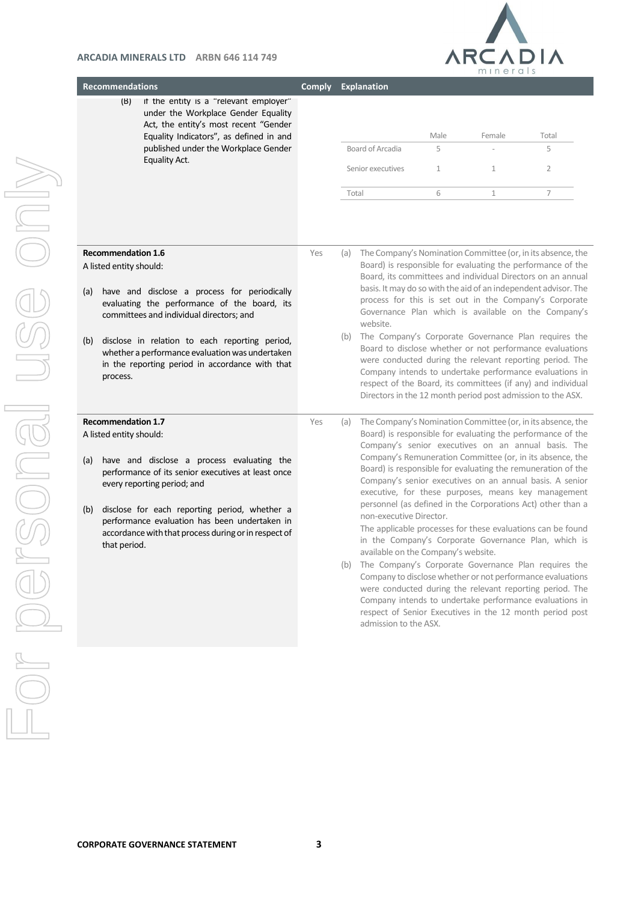

| <b>Recommendations</b>                                                                                                                                                                                                                                                                                                                                                             | <b>Comply</b> | <b>Explanation</b>                                                                                                                                                                                                                                                                                                                                                                                                                                                                                                                                                                                                                                                                                                                                                                                                                                                                                                                                                                                                                     |  |
|------------------------------------------------------------------------------------------------------------------------------------------------------------------------------------------------------------------------------------------------------------------------------------------------------------------------------------------------------------------------------------|---------------|----------------------------------------------------------------------------------------------------------------------------------------------------------------------------------------------------------------------------------------------------------------------------------------------------------------------------------------------------------------------------------------------------------------------------------------------------------------------------------------------------------------------------------------------------------------------------------------------------------------------------------------------------------------------------------------------------------------------------------------------------------------------------------------------------------------------------------------------------------------------------------------------------------------------------------------------------------------------------------------------------------------------------------------|--|
| if the entity is a "relevant employer"<br>(B)<br>under the Workplace Gender Equality<br>Act, the entity's most recent "Gender<br>Equality Indicators", as defined in and<br>published under the Workplace Gender<br>Equality Act.                                                                                                                                                  |               | Female<br>Male<br>Total<br>Board of Arcadia<br>5<br>5<br>Senior executives<br>$\overline{2}$<br>$\mathbf{1}$<br>$\mathbf{1}$<br>$\overline{7}$<br>6<br>Total<br>$\mathbf{1}$                                                                                                                                                                                                                                                                                                                                                                                                                                                                                                                                                                                                                                                                                                                                                                                                                                                           |  |
| <b>Recommendation 1.6</b><br>A listed entity should:<br>have and disclose a process for periodically<br>(a)<br>evaluating the performance of the board, its<br>committees and individual directors; and<br>disclose in relation to each reporting period,<br>(b)<br>whether a performance evaluation was undertaken<br>in the reporting period in accordance with that<br>process. | Yes           | The Company's Nomination Committee (or, in its absence, the<br>(a)<br>Board) is responsible for evaluating the performance of the<br>Board, its committees and individual Directors on an annual<br>basis. It may do so with the aid of an independent advisor. The<br>process for this is set out in the Company's Corporate<br>Governance Plan which is available on the Company's<br>website.<br>(b) The Company's Corporate Governance Plan requires the<br>Board to disclose whether or not performance evaluations<br>were conducted during the relevant reporting period. The<br>Company intends to undertake performance evaluations in<br>respect of the Board, its committees (if any) and individual<br>Directors in the 12 month period post admission to the ASX.                                                                                                                                                                                                                                                         |  |
| <b>Recommendation 1.7</b><br>A listed entity should:<br>have and disclose a process evaluating the<br>(a)<br>performance of its senior executives at least once<br>every reporting period; and<br>disclose for each reporting period, whether a<br>(b)<br>performance evaluation has been undertaken in<br>accordance with that process during or in respect of<br>that period.    | Yes           | The Company's Nomination Committee (or, in its absence, the<br>(a)<br>Board) is responsible for evaluating the performance of the<br>Company's senior executives on an annual basis. The<br>Company's Remuneration Committee (or, in its absence, the<br>Board) is responsible for evaluating the remuneration of the<br>Company's senior executives on an annual basis. A senior<br>executive, for these purposes, means key management<br>personnel (as defined in the Corporations Act) other than a<br>non-executive Director.<br>The applicable processes for these evaluations can be found<br>in the Company's Corporate Governance Plan, which is<br>available on the Company's website.<br>(b) The Company's Corporate Governance Plan requires the<br>Company to disclose whether or not performance evaluations<br>were conducted during the relevant reporting period. The<br>Company intends to undertake performance evaluations in<br>respect of Senior Executives in the 12 month period post<br>admission to the ASX. |  |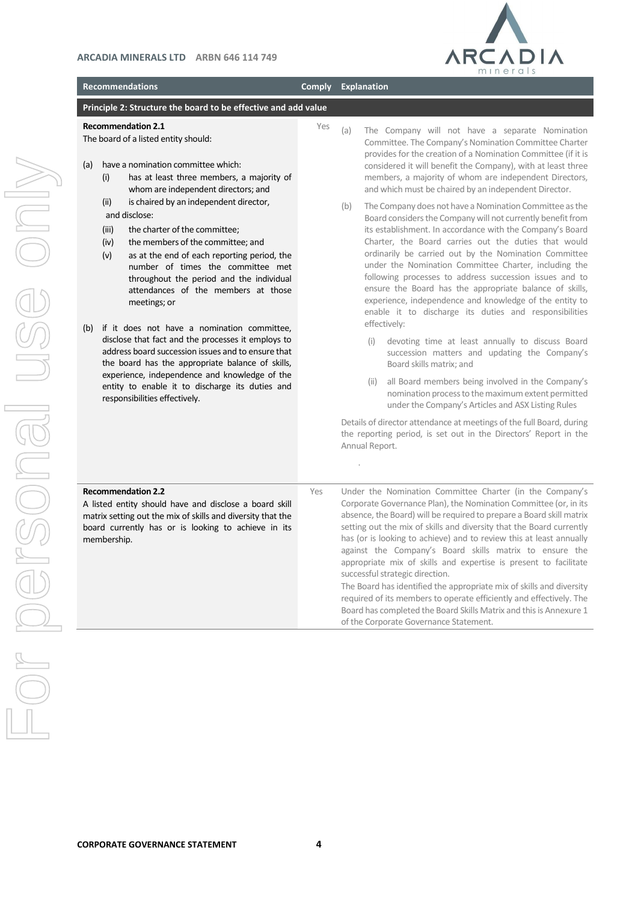

|                              | <b>Recommendations</b>                                                                                                                                                                                                                                                                                                                                                                                                                                                                                                                                                                                                                                                       | <b>Comply</b> | Explanation                                                                                                                                                                                                                                                                                                                                                                                                                                                                                                                                                                                                                                                                                                                                                                                                                                                                                                                                                                                                                                                                                                    |
|------------------------------|------------------------------------------------------------------------------------------------------------------------------------------------------------------------------------------------------------------------------------------------------------------------------------------------------------------------------------------------------------------------------------------------------------------------------------------------------------------------------------------------------------------------------------------------------------------------------------------------------------------------------------------------------------------------------|---------------|----------------------------------------------------------------------------------------------------------------------------------------------------------------------------------------------------------------------------------------------------------------------------------------------------------------------------------------------------------------------------------------------------------------------------------------------------------------------------------------------------------------------------------------------------------------------------------------------------------------------------------------------------------------------------------------------------------------------------------------------------------------------------------------------------------------------------------------------------------------------------------------------------------------------------------------------------------------------------------------------------------------------------------------------------------------------------------------------------------------|
|                              | Principle 2: Structure the board to be effective and add value                                                                                                                                                                                                                                                                                                                                                                                                                                                                                                                                                                                                               |               |                                                                                                                                                                                                                                                                                                                                                                                                                                                                                                                                                                                                                                                                                                                                                                                                                                                                                                                                                                                                                                                                                                                |
| (a)<br>(i)                   | <b>Recommendation 2.1</b><br>The board of a listed entity should:<br>have a nomination committee which:<br>has at least three members, a majority of<br>whom are independent directors; and                                                                                                                                                                                                                                                                                                                                                                                                                                                                                  | Yes           | The Company will not have a separate Nomination<br>(a)<br>Committee. The Company's Nomination Committee Charter<br>provides for the creation of a Nomination Committee (if it is<br>considered it will benefit the Company), with at least three<br>members, a majority of whom are independent Directors,<br>and which must be chaired by an independent Director.                                                                                                                                                                                                                                                                                                                                                                                                                                                                                                                                                                                                                                                                                                                                            |
| (ii)<br>(iii)<br>(iv)<br>(v) | is chaired by an independent director,<br>and disclose:<br>the charter of the committee;<br>the members of the committee; and<br>as at the end of each reporting period, the<br>number of times the committee met<br>throughout the period and the individual<br>attendances of the members at those<br>meetings; or<br>(b) if it does not have a nomination committee,<br>disclose that fact and the processes it employs to<br>address board succession issues and to ensure that<br>the board has the appropriate balance of skills,<br>experience, independence and knowledge of the<br>entity to enable it to discharge its duties and<br>responsibilities effectively. |               | The Company does not have a Nomination Committee as the<br>(b)<br>Board considers the Company will not currently benefit from<br>its establishment. In accordance with the Company's Board<br>Charter, the Board carries out the duties that would<br>ordinarily be carried out by the Nomination Committee<br>under the Nomination Committee Charter, including the<br>following processes to address succession issues and to<br>ensure the Board has the appropriate balance of skills,<br>experience, independence and knowledge of the entity to<br>enable it to discharge its duties and responsibilities<br>effectively:<br>devoting time at least annually to discuss Board<br>(i)<br>succession matters and updating the Company's<br>Board skills matrix; and<br>all Board members being involved in the Company's<br>(ii)<br>nomination process to the maximum extent permitted<br>under the Company's Articles and ASX Listing Rules<br>Details of director attendance at meetings of the full Board, during<br>the reporting period, is set out in the Directors' Report in the<br>Annual Report. |
| membership.                  | <b>Recommendation 2.2</b><br>A listed entity should have and disclose a board skill<br>matrix setting out the mix of skills and diversity that the<br>board currently has or is looking to achieve in its                                                                                                                                                                                                                                                                                                                                                                                                                                                                    | Yes           | Under the Nomination Committee Charter (in the Company's<br>Corporate Governance Plan), the Nomination Committee (or, in its<br>absence, the Board) will be required to prepare a Board skill matrix<br>setting out the mix of skills and diversity that the Board currently<br>has (or is looking to achieve) and to review this at least annually<br>against the Company's Board skills matrix to ensure the<br>appropriate mix of skills and expertise is present to facilitate<br>successful strategic direction.<br>The Board has identified the appropriate mix of skills and diversity<br>required of its members to operate efficiently and effectively. The<br>Board has completed the Board Skills Matrix and this is Annexure 1<br>of the Corporate Governance Statement.                                                                                                                                                                                                                                                                                                                           |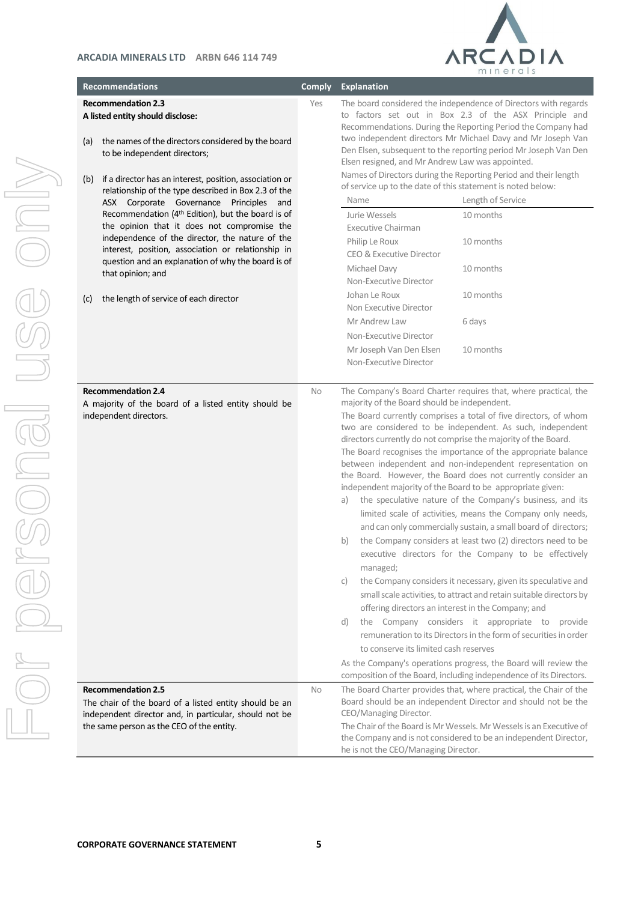

| <b>Recommendations</b>                                                                                                                                                                                                                                                                                                                                                                           | <b>Comply</b> | <b>Explanation</b>                                                                                                                                                                                                                            |                                                                                                                                                                                                                                                                                                                                                                                                                                                                                                                                                                                                                                                                                                                                                                                                                                                                                                                                                                                                                                                                                                                                                                                                 |
|--------------------------------------------------------------------------------------------------------------------------------------------------------------------------------------------------------------------------------------------------------------------------------------------------------------------------------------------------------------------------------------------------|---------------|-----------------------------------------------------------------------------------------------------------------------------------------------------------------------------------------------------------------------------------------------|-------------------------------------------------------------------------------------------------------------------------------------------------------------------------------------------------------------------------------------------------------------------------------------------------------------------------------------------------------------------------------------------------------------------------------------------------------------------------------------------------------------------------------------------------------------------------------------------------------------------------------------------------------------------------------------------------------------------------------------------------------------------------------------------------------------------------------------------------------------------------------------------------------------------------------------------------------------------------------------------------------------------------------------------------------------------------------------------------------------------------------------------------------------------------------------------------|
| <b>Recommendation 2.3</b><br>A listed entity should disclose:<br>the names of the directors considered by the board<br>(a)<br>to be independent directors;<br>if a director has an interest, position, association or<br>(b)<br>relationship of the type described in Box 2.3 of the<br>ASX Corporate Governance Principles and<br>Recommendation (4 <sup>th</sup> Edition), but the board is of | Yes           | Elsen resigned, and Mr Andrew Law was appointed.<br>of service up to the date of this statement is noted below:<br>Name<br>Jurie Wessels                                                                                                      | The board considered the independence of Directors with regards<br>to factors set out in Box 2.3 of the ASX Principle and<br>Recommendations. During the Reporting Period the Company had<br>two independent directors Mr Michael Davy and Mr Joseph Van<br>Den Elsen, subsequent to the reporting period Mr Joseph Van Den<br>Names of Directors during the Reporting Period and their length<br>Length of Service<br>10 months                                                                                                                                                                                                                                                                                                                                                                                                                                                                                                                                                                                                                                                                                                                                                                |
| the opinion that it does not compromise the<br>independence of the director, the nature of the<br>interest, position, association or relationship in<br>question and an explanation of why the board is of<br>that opinion; and                                                                                                                                                                  |               | <b>Executive Chairman</b><br>Philip Le Roux<br>CEO & Executive Director<br>Michael Davy<br>Non-Executive Director                                                                                                                             | 10 months<br>10 months                                                                                                                                                                                                                                                                                                                                                                                                                                                                                                                                                                                                                                                                                                                                                                                                                                                                                                                                                                                                                                                                                                                                                                          |
| the length of service of each director<br>(c)                                                                                                                                                                                                                                                                                                                                                    |               | Johan Le Roux<br>Non Executive Director<br>Mr Andrew Law<br>Non-Executive Director<br>Mr Joseph Van Den Elsen<br>Non-Executive Director                                                                                                       | 10 months<br>6 days<br>10 months                                                                                                                                                                                                                                                                                                                                                                                                                                                                                                                                                                                                                                                                                                                                                                                                                                                                                                                                                                                                                                                                                                                                                                |
| <b>Recommendation 2.4</b><br>A majority of the board of a listed entity should be<br>independent directors.                                                                                                                                                                                                                                                                                      | No            | majority of the Board should be independent.<br>independent majority of the Board to be appropriate given:<br>a)<br>b)<br>managed;<br>C)<br>offering directors an interest in the Company; and<br>d)<br>to conserve its limited cash reserves | The Company's Board Charter requires that, where practical, the<br>The Board currently comprises a total of five directors, of whom<br>two are considered to be independent. As such, independent<br>directors currently do not comprise the majority of the Board.<br>The Board recognises the importance of the appropriate balance<br>between independent and non-independent representation on<br>the Board. However, the Board does not currently consider an<br>the speculative nature of the Company's business, and its<br>limited scale of activities, means the Company only needs,<br>and can only commercially sustain, a small board of directors;<br>the Company considers at least two (2) directors need to be<br>executive directors for the Company to be effectively<br>the Company considers it necessary, given its speculative and<br>small scale activities, to attract and retain suitable directors by<br>the Company considers it appropriate to provide<br>remuneration to its Directors in the form of securities in order<br>As the Company's operations progress, the Board will review the<br>composition of the Board, including independence of its Directors. |
| <b>Recommendation 2.5</b><br>The chair of the board of a listed entity should be an<br>independent director and, in particular, should not be<br>the same person as the CEO of the entity.                                                                                                                                                                                                       | <b>No</b>     | CEO/Managing Director.<br>he is not the CEO/Managing Director.                                                                                                                                                                                | The Board Charter provides that, where practical, the Chair of the<br>Board should be an independent Director and should not be the<br>The Chair of the Board is Mr Wessels. Mr Wessels is an Executive of<br>the Company and is not considered to be an independent Director,                                                                                                                                                                                                                                                                                                                                                                                                                                                                                                                                                                                                                                                                                                                                                                                                                                                                                                                  |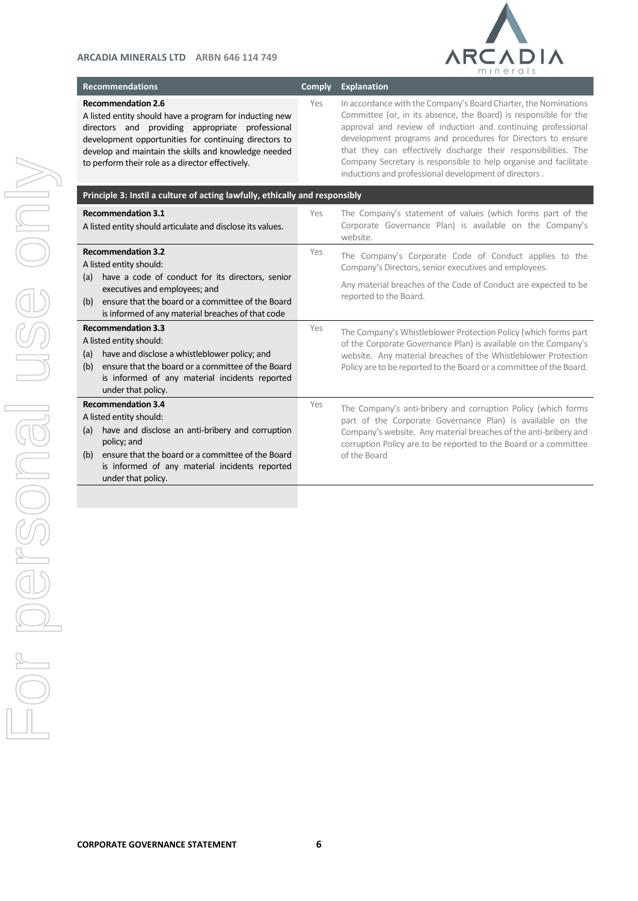

**Recommendations Comply Explanation** 

**Recommendation 2.6**

A listed entity should have a program for inducting new directors and providing appropriate professional development opportunities for continuing directors to develop and maintain the skills and knowledge needed to perform their role as a director effectively.

Yes In accordance with the Company's Board Charter, the Nominations Committee (or, in its absence, the Board) is responsible for the approval and review of induction and continuing professional development programs and procedures for Directors to ensure that they can effectively discharge their responsibilities. The Company Secretary is responsible to help organise and facilitate inductions and professional development of directors .

| Principle 3: Instil a culture of acting lawfully, ethically and responsibly                                                                                                                                                                                        |     |                                                                                                                                                                                                                                                                                     |  |
|--------------------------------------------------------------------------------------------------------------------------------------------------------------------------------------------------------------------------------------------------------------------|-----|-------------------------------------------------------------------------------------------------------------------------------------------------------------------------------------------------------------------------------------------------------------------------------------|--|
| <b>Recommendation 3.1</b><br>A listed entity should articulate and disclose its values.                                                                                                                                                                            | Yes | The Company's statement of values (which forms part of the<br>Corporate Governance Plan) is available on the Company's<br>website.                                                                                                                                                  |  |
| <b>Recommendation 3.2</b><br>A listed entity should:<br>have a code of conduct for its directors, senior<br>(a)<br>executives and employees; and<br>ensure that the board or a committee of the Board<br>(b)<br>is informed of any material breaches of that code  | Yes | The Company's Corporate Code of Conduct applies to the<br>Company's Directors, senior executives and employees.<br>Any material breaches of the Code of Conduct are expected to be<br>reported to the Board.                                                                        |  |
| <b>Recommendation 3.3</b><br>A listed entity should:<br>have and disclose a whistleblower policy; and<br>(a)<br>ensure that the board or a committee of the Board<br>(b)<br>is informed of any material incidents reported<br>under that policy.                   | Yes | The Company's Whistleblower Protection Policy (which forms part<br>of the Corporate Governance Plan) is available on the Company's<br>website. Any material breaches of the Whistleblower Protection<br>Policy are to be reported to the Board or a committee of the Board.         |  |
| <b>Recommendation 3.4</b><br>A listed entity should:<br>have and disclose an anti-bribery and corruption<br>(a)<br>policy; and<br>ensure that the board or a committee of the Board<br>(b)<br>is informed of any material incidents reported<br>under that policy. | Yes | The Company's anti-bribery and corruption Policy (which forms<br>part of the Corporate Governance Plan) is available on the<br>Company's website. Any material breaches of the anti-bribery and<br>corruption Policy are to be reported to the Board or a committee<br>of the Board |  |
|                                                                                                                                                                                                                                                                    |     |                                                                                                                                                                                                                                                                                     |  |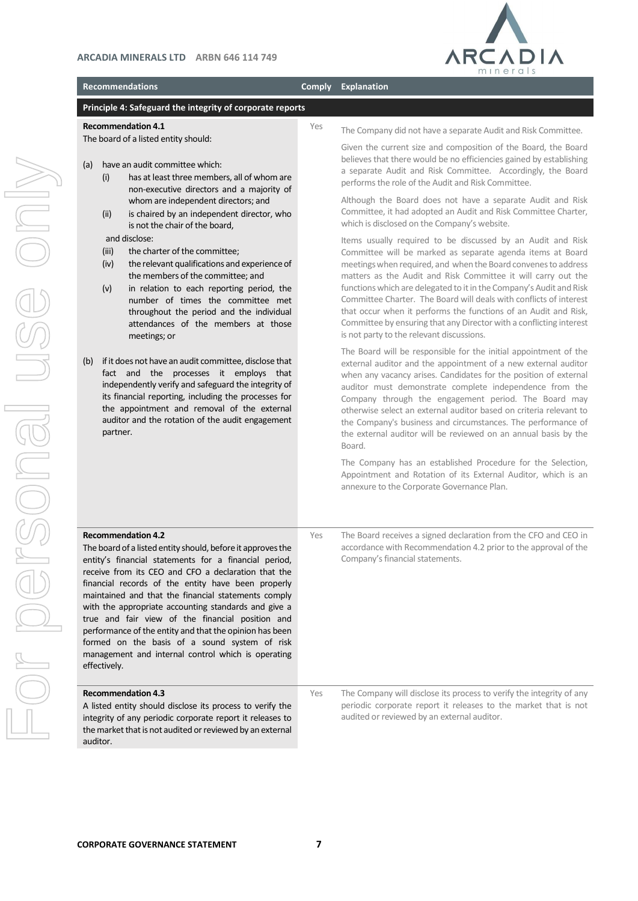

#### **Recommendations Comply Explanation**

## **Principle 4: Safeguard the integrity of corporate reports**

### **Recommendation 4.1**

The board of a listed entity should:

- (a) have an audit committee which:
	- (i) has at least three members, all of whom are non-executive directors and a majority of whom are independent directors; and
	- (ii) is chaired by an independent director, who is not the chair of the board,

and disclose:

- (iii) the charter of the committee;
- (iv) the relevant qualifications and experience of the members of the committee; and
- (v) in relation to each reporting period, the number of times the committee met throughout the period and the individual attendances of the members at those meetings; or
- (b) if it does not have an audit committee, disclose that fact and the processes it employs that independently verify and safeguard the integrity of its financial reporting, including the processes for the appointment and removal of the external auditor and the rotation of the audit engagement partner.

Yes The Company did not have a separate Audit and Risk Committee.

Given the current size and composition of the Board, the Board believes that there would be no efficiencies gained by establishing a separate Audit and Risk Committee. Accordingly, the Board performs the role of the Audit and Risk Committee.

Although the Board does not have a separate Audit and Risk Committee, it had adopted an Audit and Risk Committee Charter, which is disclosed on the Company's website.

Items usually required to be discussed by an Audit and Risk Committee will be marked as separate agenda items at Board meetings when required, and when the Board convenesto address matters as the Audit and Risk Committee it will carry out the functions which are delegated to it in the Company's Audit and Risk Committee Charter. The Board will deals with conflicts of interest that occur when it performs the functions of an Audit and Risk, Committee by ensuring that any Director with a conflicting interest is not party to the relevant discussions.

The Board will be responsible for the initial appointment of the external auditor and the appointment of a new external auditor when any vacancy arises. Candidates for the position of external auditor must demonstrate complete independence from the Company through the engagement period. The Board may otherwise select an external auditor based on criteria relevant to the Company's business and circumstances. The performance of the external auditor will be reviewed on an annual basis by the Board.

The Company has an established Procedure for the Selection, Appointment and Rotation of its External Auditor, which is an annexure to the Corporate Governance Plan.

| <b>Recommendation 4.2</b><br>The board of a listed entity should, before it approves the<br>entity's financial statements for a financial period,<br>receive from its CEO and CFO a declaration that the<br>financial records of the entity have been properly<br>maintained and that the financial statements comply<br>with the appropriate accounting standards and give a<br>true and fair view of the financial position and<br>performance of the entity and that the opinion has been<br>formed on the basis of a sound system of risk<br>management and internal control which is operating<br>effectively. | Yes | The Board receives a signed declaration from the CFO and CEO in<br>accordance with Recommendation 4.2 prior to the approval of the<br>Company's financial statements.                  |
|---------------------------------------------------------------------------------------------------------------------------------------------------------------------------------------------------------------------------------------------------------------------------------------------------------------------------------------------------------------------------------------------------------------------------------------------------------------------------------------------------------------------------------------------------------------------------------------------------------------------|-----|----------------------------------------------------------------------------------------------------------------------------------------------------------------------------------------|
| <b>Recommendation 4.3</b><br>A listed entity should disclose its process to verify the<br>integrity of any periodic corporate report it releases to<br>the market that is not audited or reviewed by an external<br>auditor.                                                                                                                                                                                                                                                                                                                                                                                        | Yes | The Company will disclose its process to verify the integrity of any<br>periodic corporate report it releases to the market that is not<br>audited or reviewed by an external auditor. |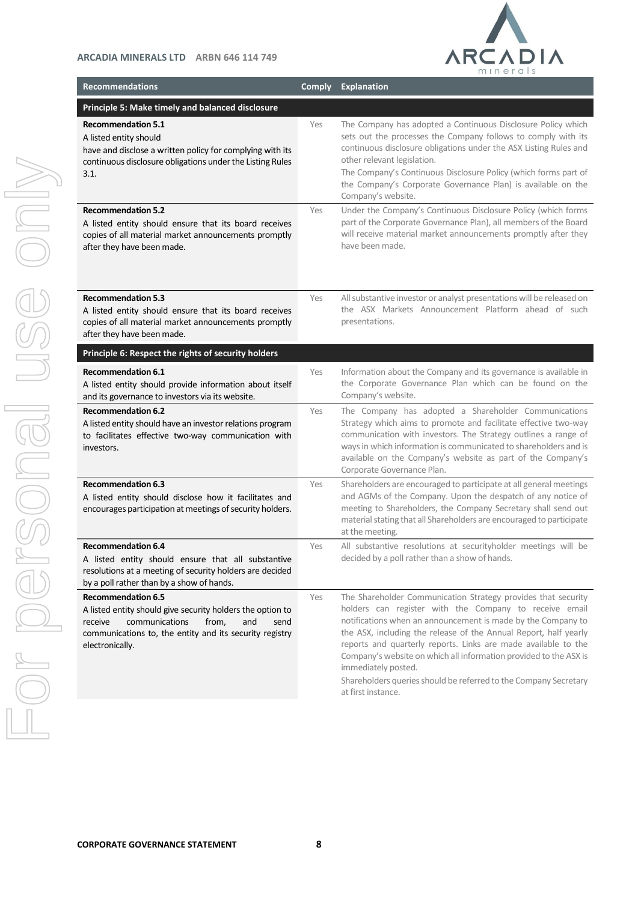

| <b>Recommendations</b>                                                                                                                                                                                                     | <b>Comply</b> | <b>Explanation</b>                                                                                                                                                                                                                                                                                                                                                                                                                                                                                                  |
|----------------------------------------------------------------------------------------------------------------------------------------------------------------------------------------------------------------------------|---------------|---------------------------------------------------------------------------------------------------------------------------------------------------------------------------------------------------------------------------------------------------------------------------------------------------------------------------------------------------------------------------------------------------------------------------------------------------------------------------------------------------------------------|
| Principle 5: Make timely and balanced disclosure                                                                                                                                                                           |               |                                                                                                                                                                                                                                                                                                                                                                                                                                                                                                                     |
| <b>Recommendation 5.1</b><br>A listed entity should<br>have and disclose a written policy for complying with its<br>continuous disclosure obligations under the Listing Rules<br>3.1.                                      | Yes           | The Company has adopted a Continuous Disclosure Policy which<br>sets out the processes the Company follows to comply with its<br>continuous disclosure obligations under the ASX Listing Rules and<br>other relevant legislation.<br>The Company's Continuous Disclosure Policy (which forms part of<br>the Company's Corporate Governance Plan) is available on the<br>Company's website.                                                                                                                          |
| <b>Recommendation 5.2</b><br>A listed entity should ensure that its board receives<br>copies of all material market announcements promptly<br>after they have been made.                                                   | Yes           | Under the Company's Continuous Disclosure Policy (which forms<br>part of the Corporate Governance Plan), all members of the Board<br>will receive material market announcements promptly after they<br>have been made.                                                                                                                                                                                                                                                                                              |
| <b>Recommendation 5.3</b><br>A listed entity should ensure that its board receives<br>copies of all material market announcements promptly<br>after they have been made.                                                   | Yes           | All substantive investor or analyst presentations will be released on<br>the ASX Markets Announcement Platform ahead of such<br>presentations.                                                                                                                                                                                                                                                                                                                                                                      |
| Principle 6: Respect the rights of security holders                                                                                                                                                                        |               |                                                                                                                                                                                                                                                                                                                                                                                                                                                                                                                     |
| <b>Recommendation 6.1</b><br>A listed entity should provide information about itself<br>and its governance to investors via its website.                                                                                   | Yes           | Information about the Company and its governance is available in<br>the Corporate Governance Plan which can be found on the<br>Company's website.                                                                                                                                                                                                                                                                                                                                                                   |
| <b>Recommendation 6.2</b><br>A listed entity should have an investor relations program<br>to facilitates effective two-way communication with<br>investors.                                                                | Yes           | The Company has adopted a Shareholder Communications<br>Strategy which aims to promote and facilitate effective two-way<br>communication with investors. The Strategy outlines a range of<br>ways in which information is communicated to shareholders and is<br>available on the Company's website as part of the Company's<br>Corporate Governance Plan.                                                                                                                                                          |
| <b>Recommendation 6.3</b><br>A listed entity should disclose how it facilitates and<br>encourages participation at meetings of security holders.                                                                           | Yes           | Shareholders are encouraged to participate at all general meetings<br>and AGMs of the Company. Upon the despatch of any notice of<br>meeting to Shareholders, the Company Secretary shall send out<br>material stating that all Shareholders are encouraged to participate<br>at the meeting.                                                                                                                                                                                                                       |
| <b>Recommendation 6.4</b><br>A listed entity should ensure that all substantive<br>resolutions at a meeting of security holders are decided<br>by a poll rather than by a show of hands.                                   | Yes           | All substantive resolutions at securityholder meetings will be<br>decided by a poll rather than a show of hands.                                                                                                                                                                                                                                                                                                                                                                                                    |
| <b>Recommendation 6.5</b><br>A listed entity should give security holders the option to<br>communications<br>from,<br>and<br>receive<br>send<br>communications to, the entity and its security registry<br>electronically. | Yes           | The Shareholder Communication Strategy provides that security<br>holders can register with the Company to receive email<br>notifications when an announcement is made by the Company to<br>the ASX, including the release of the Annual Report, half yearly<br>reports and quarterly reports. Links are made available to the<br>Company's website on which all information provided to the ASX is<br>immediately posted.<br>Shareholders queries should be referred to the Company Secretary<br>at first instance. |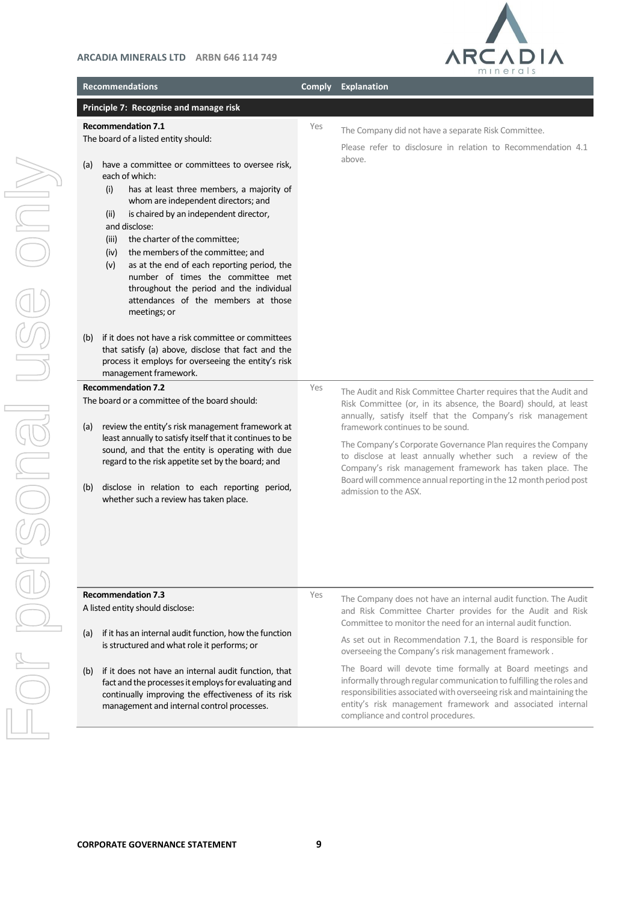

| <b>Recommendations</b>                                                                                     |                                                                                                                                                                                                                                                                                                                                                                                                                                                                                    | <b>Comply</b> | <b>Explanation</b>                                                                                                                                                                                                                                                                                                                                                                                                                                                                                                                                                                                                                       |
|------------------------------------------------------------------------------------------------------------|------------------------------------------------------------------------------------------------------------------------------------------------------------------------------------------------------------------------------------------------------------------------------------------------------------------------------------------------------------------------------------------------------------------------------------------------------------------------------------|---------------|------------------------------------------------------------------------------------------------------------------------------------------------------------------------------------------------------------------------------------------------------------------------------------------------------------------------------------------------------------------------------------------------------------------------------------------------------------------------------------------------------------------------------------------------------------------------------------------------------------------------------------------|
|                                                                                                            | Principle 7: Recognise and manage risk                                                                                                                                                                                                                                                                                                                                                                                                                                             |               |                                                                                                                                                                                                                                                                                                                                                                                                                                                                                                                                                                                                                                          |
| <b>Recommendation 7.1</b><br>(a)<br>each of which:<br>(i)<br>(ii)<br>and disclose:<br>(iii)<br>(iv)<br>(v) | The board of a listed entity should:<br>have a committee or committees to oversee risk,<br>has at least three members, a majority of<br>whom are independent directors; and<br>is chaired by an independent director,<br>the charter of the committee;<br>the members of the committee; and<br>as at the end of each reporting period, the<br>number of times the committee met<br>throughout the period and the individual<br>attendances of the members at those<br>meetings; or | Yes           | The Company did not have a separate Risk Committee.<br>Please refer to disclosure in relation to Recommendation 4.1<br>above.                                                                                                                                                                                                                                                                                                                                                                                                                                                                                                            |
| (b)                                                                                                        | if it does not have a risk committee or committees<br>that satisfy (a) above, disclose that fact and the<br>process it employs for overseeing the entity's risk<br>management framework.                                                                                                                                                                                                                                                                                           |               |                                                                                                                                                                                                                                                                                                                                                                                                                                                                                                                                                                                                                                          |
| <b>Recommendation 7.2</b><br>(a)                                                                           | The board or a committee of the board should:<br>review the entity's risk management framework at<br>least annually to satisfy itself that it continues to be<br>sound, and that the entity is operating with due<br>regard to the risk appetite set by the board; and<br>(b) disclose in relation to each reporting period,<br>whether such a review has taken place.                                                                                                             | Yes           | The Audit and Risk Committee Charter requires that the Audit and<br>Risk Committee (or, in its absence, the Board) should, at least<br>annually, satisfy itself that the Company's risk management<br>framework continues to be sound.<br>The Company's Corporate Governance Plan requires the Company<br>to disclose at least annually whether such a review of the<br>Company's risk management framework has taken place. The<br>Board will commence annual reporting in the 12 month period post<br>admission to the ASX.                                                                                                            |
| <b>Recommendation 7.3</b><br>(a)<br>(b)                                                                    | A listed entity should disclose:<br>if it has an internal audit function, how the function<br>is structured and what role it performs; or<br>if it does not have an internal audit function, that<br>fact and the processes it employs for evaluating and<br>continually improving the effectiveness of its risk<br>management and internal control processes.                                                                                                                     | Yes           | The Company does not have an internal audit function. The Audit<br>and Risk Committee Charter provides for the Audit and Risk<br>Committee to monitor the need for an internal audit function.<br>As set out in Recommendation 7.1, the Board is responsible for<br>overseeing the Company's risk management framework.<br>The Board will devote time formally at Board meetings and<br>informally through regular communication to fulfilling the roles and<br>responsibilities associated with overseeing risk and maintaining the<br>entity's risk management framework and associated internal<br>compliance and control procedures. |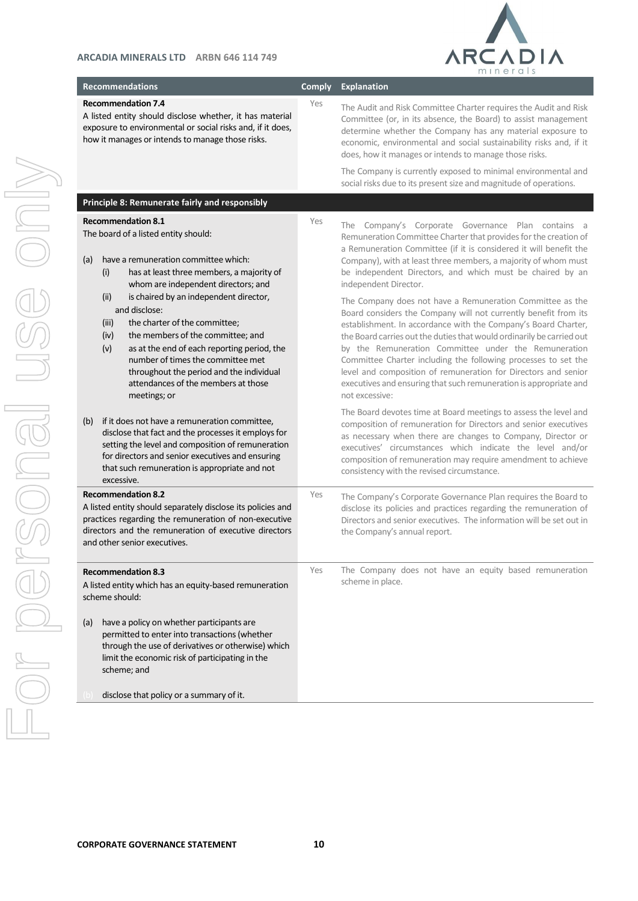

| <b>Recommendations</b>                                                        |                                                                                                                                                                                                                                                                                     | <b>Comply</b> | <b>Explanation</b>                                                                                                                                                                                                                                                                                                                                                                                                                                                                                                                                         |
|-------------------------------------------------------------------------------|-------------------------------------------------------------------------------------------------------------------------------------------------------------------------------------------------------------------------------------------------------------------------------------|---------------|------------------------------------------------------------------------------------------------------------------------------------------------------------------------------------------------------------------------------------------------------------------------------------------------------------------------------------------------------------------------------------------------------------------------------------------------------------------------------------------------------------------------------------------------------------|
| <b>Recommendation 7.4</b><br>how it manages or intends to manage those risks. | A listed entity should disclose whether, it has material<br>exposure to environmental or social risks and, if it does,                                                                                                                                                              | Yes           | The Audit and Risk Committee Charter requires the Audit and Risk<br>Committee (or, in its absence, the Board) to assist management<br>determine whether the Company has any material exposure to<br>economic, environmental and social sustainability risks and, if it<br>does, how it manages or intends to manage those risks.<br>The Company is currently exposed to minimal environmental and                                                                                                                                                          |
|                                                                               |                                                                                                                                                                                                                                                                                     |               | social risks due to its present size and magnitude of operations.                                                                                                                                                                                                                                                                                                                                                                                                                                                                                          |
| Principle 8: Remunerate fairly and responsibly                                |                                                                                                                                                                                                                                                                                     |               |                                                                                                                                                                                                                                                                                                                                                                                                                                                                                                                                                            |
| <b>Recommendation 8.1</b><br>The board of a listed entity should:             |                                                                                                                                                                                                                                                                                     | Yes           | The Company's Corporate Governance Plan contains a<br>Remuneration Committee Charter that provides for the creation of<br>a Remuneration Committee (if it is considered it will benefit the                                                                                                                                                                                                                                                                                                                                                                |
| (a)<br>(i)                                                                    | have a remuneration committee which:<br>has at least three members, a majority of<br>whom are independent directors; and                                                                                                                                                            |               | Company), with at least three members, a majority of whom must<br>be independent Directors, and which must be chaired by an<br>independent Director.                                                                                                                                                                                                                                                                                                                                                                                                       |
| (ii)<br>and disclose:<br>(iii)<br>(iv)<br>(v)<br>meetings; or                 | is chaired by an independent director,<br>the charter of the committee;<br>the members of the committee; and<br>as at the end of each reporting period, the<br>number of times the committee met<br>throughout the period and the individual<br>attendances of the members at those |               | The Company does not have a Remuneration Committee as the<br>Board considers the Company will not currently benefit from its<br>establishment. In accordance with the Company's Board Charter,<br>the Board carries out the duties that would ordinarily be carried out<br>by the Remuneration Committee under the Remuneration<br>Committee Charter including the following processes to set the<br>level and composition of remuneration for Directors and senior<br>executives and ensuring that such remuneration is appropriate and<br>not excessive: |
| (b)<br>excessive.                                                             | if it does not have a remuneration committee,<br>disclose that fact and the processes it employs for<br>setting the level and composition of remuneration<br>for directors and senior executives and ensuring<br>that such remuneration is appropriate and not                      |               | The Board devotes time at Board meetings to assess the level and<br>composition of remuneration for Directors and senior executives<br>as necessary when there are changes to Company, Director or<br>executives' circumstances which indicate the level and/or<br>composition of remuneration may require amendment to achieve<br>consistency with the revised circumstance.                                                                                                                                                                              |
| <b>Recommendation 8.2</b><br>and other senior executives.                     | A listed entity should separately disclose its policies and<br>practices regarding the remuneration of non-executive<br>directors and the remuneration of executive directors                                                                                                       | Yes           | The Company's Corporate Governance Plan requires the Board to<br>disclose its policies and practices regarding the remuneration of<br>Directors and senior executives. The information will be set out in<br>the Company's annual report.                                                                                                                                                                                                                                                                                                                  |
| <b>Recommendation 8.3</b><br>scheme should:                                   | A listed entity which has an equity-based remuneration                                                                                                                                                                                                                              | Yes           | The Company does not have an equity based remuneration<br>scheme in place.                                                                                                                                                                                                                                                                                                                                                                                                                                                                                 |
| (a)<br>scheme; and                                                            | have a policy on whether participants are<br>permitted to enter into transactions (whether<br>through the use of derivatives or otherwise) which<br>limit the economic risk of participating in the                                                                                 |               |                                                                                                                                                                                                                                                                                                                                                                                                                                                                                                                                                            |
| disclose that policy or a summary of it.                                      |                                                                                                                                                                                                                                                                                     |               |                                                                                                                                                                                                                                                                                                                                                                                                                                                                                                                                                            |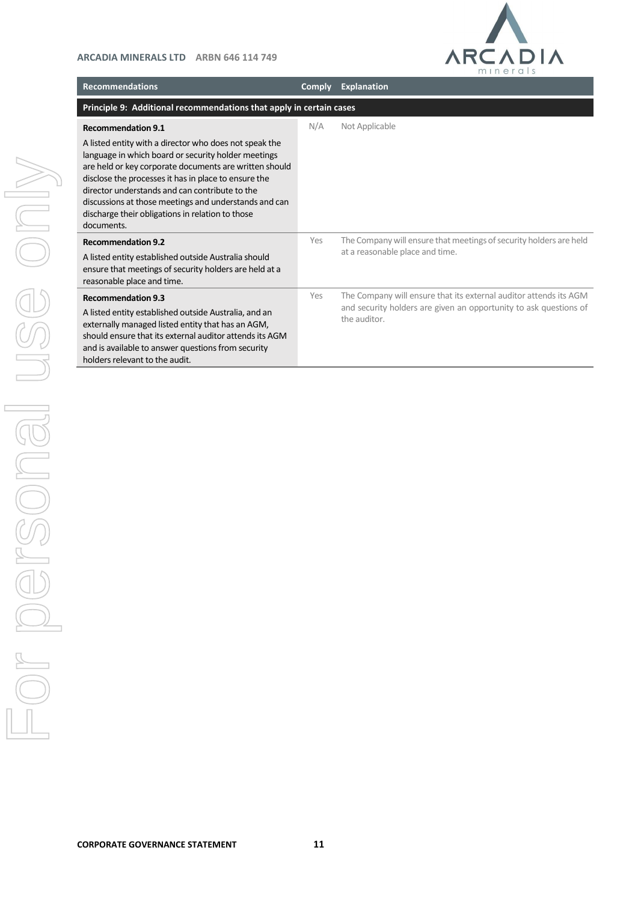

| <b>Recommendations</b>                                                                                                                                                                                                                                                                                                                                                                                                                    | <b>Comply</b> | <b>Explanation</b>                                                                                                                                     |  |  |
|-------------------------------------------------------------------------------------------------------------------------------------------------------------------------------------------------------------------------------------------------------------------------------------------------------------------------------------------------------------------------------------------------------------------------------------------|---------------|--------------------------------------------------------------------------------------------------------------------------------------------------------|--|--|
| Principle 9: Additional recommendations that apply in certain cases                                                                                                                                                                                                                                                                                                                                                                       |               |                                                                                                                                                        |  |  |
| <b>Recommendation 9.1</b><br>A listed entity with a director who does not speak the<br>language in which board or security holder meetings<br>are held or key corporate documents are written should<br>disclose the processes it has in place to ensure the<br>director understands and can contribute to the<br>discussions at those meetings and understands and can<br>discharge their obligations in relation to those<br>documents. | N/A           | Not Applicable                                                                                                                                         |  |  |
| <b>Recommendation 9.2</b><br>A listed entity established outside Australia should<br>ensure that meetings of security holders are held at a<br>reasonable place and time.                                                                                                                                                                                                                                                                 | Yes           | The Company will ensure that meetings of security holders are held<br>at a reasonable place and time.                                                  |  |  |
| <b>Recommendation 9.3</b><br>A listed entity established outside Australia, and an<br>externally managed listed entity that has an AGM,<br>should ensure that its external auditor attends its AGM<br>and is available to answer questions from security<br>holders relevant to the audit.                                                                                                                                                | Yes           | The Company will ensure that its external auditor attends its AGM<br>and security holders are given an opportunity to ask questions of<br>the auditor. |  |  |